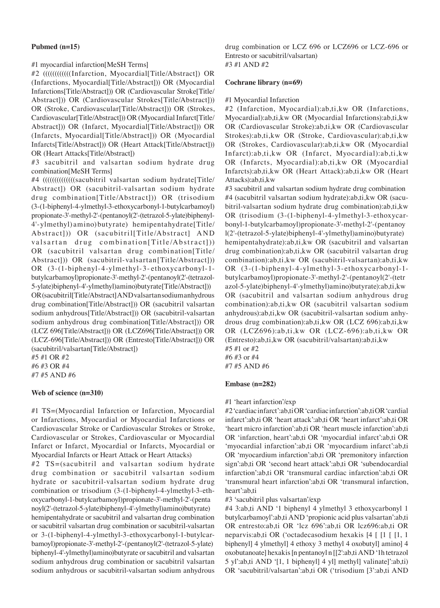### **Pubmed (n=15)**

## #1 myocardial infarction[MeSH Terms]

#2 ((((((((((((Infarction, Myocardial[Title/Abstract]) OR (Infarctions, Myocardial[Title/Abstract])) OR (Myocardial Infarctions[Title/Abstract])) OR (Cardiovascular Stroke[Title/ Abstract])) OR (Cardiovascular Strokes[Title/Abstract])) OR (Stroke, Cardiovascular[Title/Abstract])) OR (Strokes, Cardiovascular[Title/Abstract])) OR (Myocardial Infarct[Title/ Abstract])) OR (Infarct, Myocardial[Title/Abstract])) OR (Infarcts, Myocardial[Title/Abstract])) OR (Myocardial Infarcts[Title/Abstract])) OR (Heart Attack[Title/Abstract])) OR (Heart Attacks[Title/Abstract])

#3 sacubitril and valsartan sodium hydrate drug combination[MeSH Terms]

#4 (((((((((((((((()))))(((sacubitril valsartan sodium hydrate) Title/ Abstract]) OR (sacubitril‑valsartan sodium hydrate drug combination[Title/Abstract])) OR (trisodium (3‑(1‑biphenyl‑4‑ylmethyl‑3‑ethoxycarbonyl‑1‑butylcarbamoyl) propionate-3'-methyl-2'-(pentanoyl(2'-(tetrazol-5-ylate)biphenyl-4'‑ylmethyl) amino) butyrate) hemipentahydrate[Title/ Abstract])) OR (sacubitril[Title/Abstract] AND valsartan drug combination[Title/Abstract])) OR (sacubitril valsartan drug combination[Title/ Abstract])) OR (sacubitril-valsartan[Title/Abstract])) OR (3-(1-biphenyl-4-ylmethyl-3-ethoxycarbonyl-1butylcarbamoyl)propionate-3'-methyl-2'-(pentanoyl(2'-(tetrazol-5‑ylate)biphenyl‑4'‑ylmethyl)amino)butyrate[Title/Abstract])) OR (sacubitril[Title/Abstract] AND valsartan sodium anhydrous drug combination[Title/Abstract])) OR (sacubitril valsartan sodium anhydrous[Title/Abstract])) OR (sacubitril-valsartan sodium anhydrous drug combination[Title/Abstract])) OR (LCZ 696[Title/Abstract])) OR (LCZ696[Title/Abstract])) OR (LCZ‑696[Title/Abstract])) OR (Entresto[Title/Abstract])) OR (sacubitril/valsartan[Title/Abstract])

#5 #1 OR #2 #6 #3 OR #4 #7 #5 AND #6

# **Web of science (n=310)**

#1 TS=(Myocardial Infarction or Infarction, Myocardial or Infarctions, Myocardial or Myocardial Infarctions or Cardiovascular Stroke or Cardiovascular Strokes or Stroke, Cardiovascular or Strokes, Cardiovascular or Myocardial Infarct or Infarct, Myocardial or Infarcts, Myocardial or Myocardial Infarcts or Heart Attack or Heart Attacks)

#2 TS=(sacubitril and valsartan sodium hydrate drug combination or sacubitril valsartan sodium hydrate or sacubitril‑valsartan sodium hydrate drug combination or trisodium (3-(1-biphenyl-4-ylmethyl-3-ethoxycarbonyl‑1‑butylcarbamoyl)propionate‑3'‑methyl‑2'‑(penta

noyl(2'‑(tetrazol‑5‑ylate)biphenyl‑4'‑ylmethyl)amino)butyrate) hemipentahydrate or sacubitril and valsartan drug combination or sacubitril valsartan drug combination or sacubitril‑valsartan or 3-(1-biphenyl-4-ylmethyl-3-ethoxycarbonyl-1-butylcarbamoyl)propionate‑3'‑methyl‑2'‑(pentanoyl(2'‑(tetrazol‑5‑ylate) biphenyl‑4'‑ylmethyl)amino)butyrate or sacubitril and valsartan sodium anhydrous drug combination or sacubitril valsartan sodium anhydrous or sacubitril-valsartan sodium anhydrous drug combination or LCZ 696 or LCZ696 or LCZ-696 or Entresto or sacubitril/valsartan) #3 #1 AND #2

#### **Cochrane library (n=69)**

### #1 Myocardial Infarction

#2 (Infarction, Myocardial):ab,ti,kw OR (Infarctions, Myocardial):ab,ti,kw OR (Myocardial Infarctions):ab,ti,kw OR (Cardiovascular Stroke):ab,ti,kw OR (Cardiovascular Strokes):ab,ti,kw OR (Stroke, Cardiovascular):ab,ti,kw OR (Strokes, Cardiovascular):ab,ti,kw OR (Myocardial Infarct):ab,ti,kw OR (Infarct, Myocardial):ab,ti,kw OR (Infarcts, Myocardial):ab,ti,kw OR (Myocardial Infarcts):ab,ti,kw OR (Heart Attack):ab,ti,kw OR (Heart Attacks):ab,ti,kw

#3 sacubitril and valsartan sodium hydrate drug combination #4 (sacubitril valsartan sodium hydrate):ab,ti, kw OR (sacubitril‑valsartan sodium hydrate drug combination):ab,ti,kw OR (trisodium (3-(1-biphenyl-4-ylmethyl-3-ethoxycarbonyl-1-butylcarbamoyl)propionate-3'-methyl-2'-(pentanoy l(2'‑(tetrazol‑5‑ylate)biphenyl‑4'‑ylmethyl)amino)butyrate) hemipentahydrate):ab,ti,kw OR (sacubitril and valsartan drug combination):ab,ti,kw OR (sacubitril valsartan drug combination):ab,ti,kw OR (sacubitril‑valsartan):ab,ti,kw OR (3-(1-biphenyl-4-ylmethyl-3-ethoxycarbonyl-1butylcarbamoyl)propionate‑3'‑methyl‑2'‑(pentanoyl(2'‑(tetr azol‑5‑ylate)biphenyl‑4'‑ylmethyl)amino)butyrate):ab,ti,kw OR (sacubitril and valsartan sodium anhydrous drug combination):ab,ti,kw OR (sacubitril valsartan sodium anhydrous):ab,ti,kw OR (sacubitril-valsartan sodium anhydrous drug combination):ab,ti,kw OR (LCZ 696):ab,ti,kw OR (LCZ696):ab,ti,kw OR (LCZ‑696):ab,ti,kw OR (Entresto):ab,ti,kw OR (sacubitril/valsartan):ab,ti,kw #5 #1 or #2

#6 #3 or #4 #7 #5 AND #6

### **Embase (n=282)**

#### #1 'heart infarction'/exp

#2 'cardiac infarct':ab,ti OR 'cardiac infarction':ab,ti OR 'cardial infarct':ab,ti OR 'heart attack':ab,ti OR 'heart infarct':ab,ti OR 'heart micro infarction':ab,ti OR 'heart muscle infarction':ab,ti OR 'infarction, heart':ab,ti OR 'myocardial infarct':ab,ti OR 'myocardial infarction':ab,ti OR 'myocardium infarct':ab,ti OR 'myocardium infarction':ab,ti OR 'premonitory infarction sign':ab,ti OR 'second heart attack':ab,ti OR 'subendocardial infarction':ab,ti OR 'transmural cardiac infarction':ab,ti OR 'transmural heart infarction':ab,ti OR 'transmural infarction, heart':ab,ti

#3 'sacubitril plus valsartan'/exp

#4 3:ab,ti AND '1 biphenyl 4 ylmethyl 3 ethoxycarbonyl 1 butylcarbamoyl':ab,ti AND 'propionic acid plus valsartan':ab,ti OR entresto:ab,ti OR 'lcz 696':ab,ti OR lcz696:ab,ti OR neparvis:ab,ti OR ('octadecasodium hexakis [4 [ [1 [ [1, 1 biphenyl] 4 ylmethyl] 4 ethoxy 3 methyl 4 oxobutyl] amino] 4 oxobutanoate] hexakis [n pentanoyl n [[2':ab,ti AND '1h tetrazol 5 yl':ab,ti AND '[1, 1 biphenyl] 4 yl] methyl] valinate]':ab,ti) OR 'sacubitril/valsartan':ab,ti OR ('trisodium [3':ab,ti AND